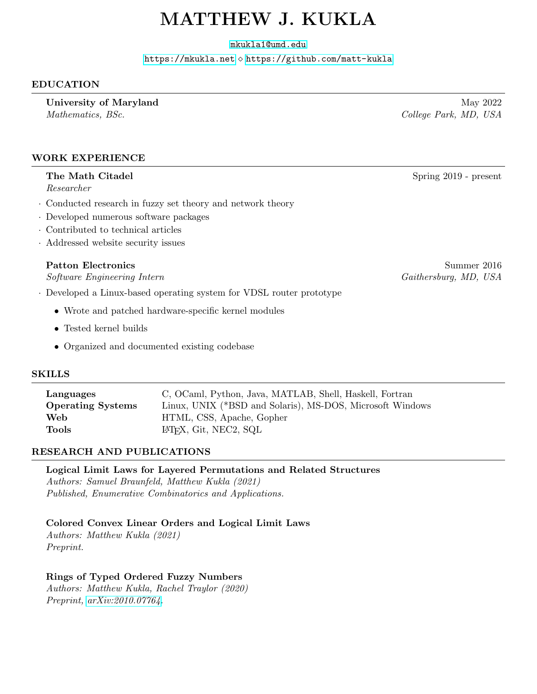# MATTHEW J. KUKLA

[mkukla1@umd.edu](mailto:mkukla1@umd.edu)

<https://mkukla.net> ⋄ <https://github.com/matt-kukla>

## EDUCATION

University of Maryland May 2022 Mathematics, BSc. College Park, MD, USA

#### WORK EXPERIENCE

#### The Math Citadel Spring 2019 - present

Researcher

- · Conducted research in fuzzy set theory and network theory
- · Developed numerous software packages
- · Contributed to technical articles
- · Addressed website security issues

Software Engineering Intern Gaithersburg, MD, USA

- · Developed a Linux-based operating system for VDSL router prototype
	- Wrote and patched hardware-specific kernel modules
	- Tested kernel builds
	- Organized and documented existing codebase

#### SKILLS

| Languages                | C, OCaml, Python, Java, MATLAB, Shell, Haskell, Fortran   |
|--------------------------|-----------------------------------------------------------|
| <b>Operating Systems</b> | Linux, UNIX (*BSD and Solaris), MS-DOS, Microsoft Windows |
| Web                      | HTML, CSS, Apache, Gopher                                 |
| Tools                    | L'IFX, Git, NEC2, SQL                                     |
|                          |                                                           |

### RESEARCH AND PUBLICATIONS

Logical Limit Laws for Layered Permutations and Related Structures

Authors: Samuel Braunfeld, Matthew Kukla (2021) Published, Enumerative Combinatorics and Applications.

### Colored Convex Linear Orders and Logical Limit Laws

Authors: Matthew Kukla (2021) Preprint.

### Rings of Typed Ordered Fuzzy Numbers

Authors: Matthew Kukla, Rachel Traylor (2020) Preprint, [arXiv:2010.07764.](https://arxiv.org/abs/2010.07764)

Patton Electronics Summer 2016